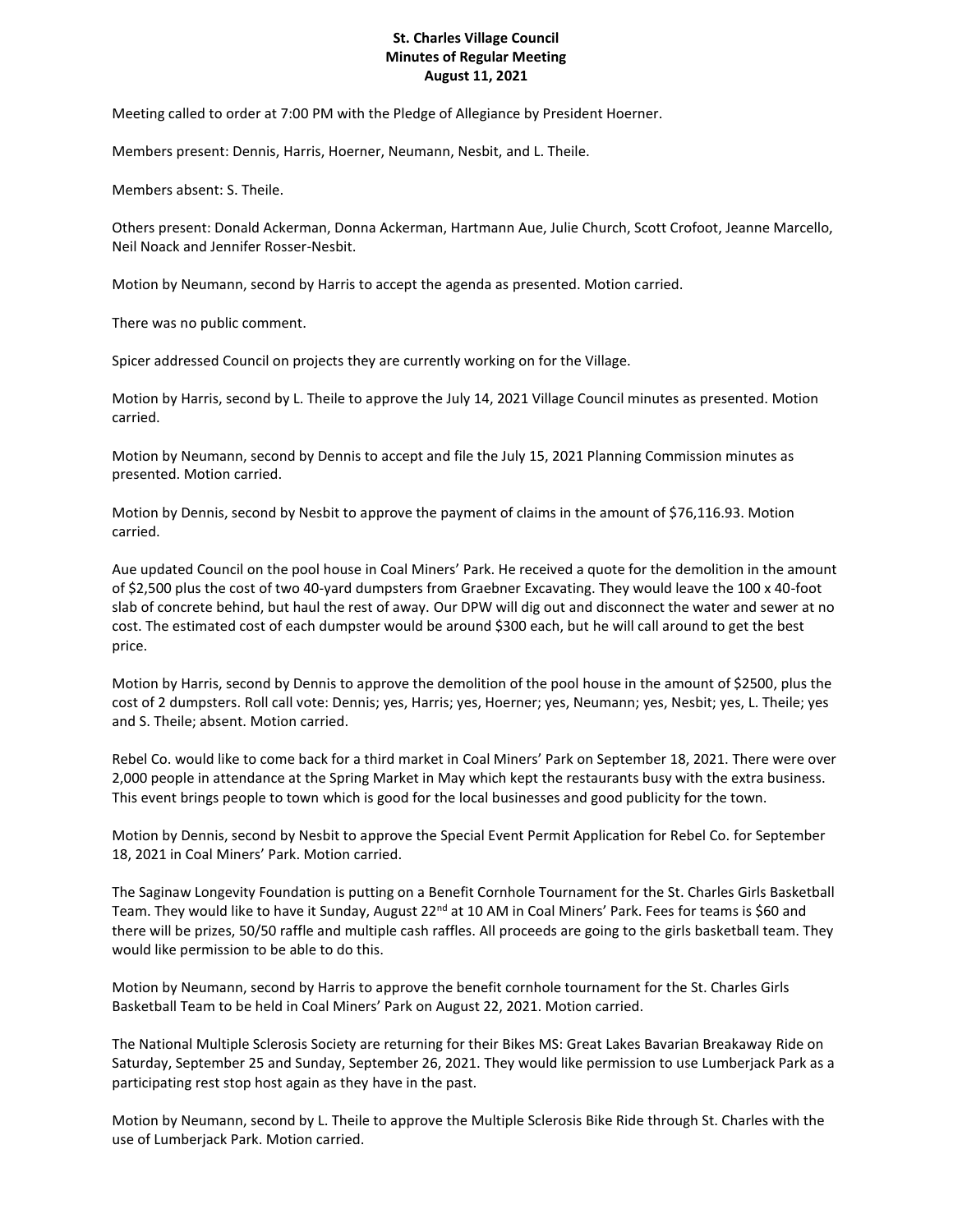## **St. Charles Village Council Minutes of Regular Meeting August 11, 2021**

Meeting called to order at 7:00 PM with the Pledge of Allegiance by President Hoerner.

Members present: Dennis, Harris, Hoerner, Neumann, Nesbit, and L. Theile.

Members absent: S. Theile.

Others present: Donald Ackerman, Donna Ackerman, Hartmann Aue, Julie Church, Scott Crofoot, Jeanne Marcello, Neil Noack and Jennifer Rosser-Nesbit.

Motion by Neumann, second by Harris to accept the agenda as presented. Motion carried.

There was no public comment.

Spicer addressed Council on projects they are currently working on for the Village.

Motion by Harris, second by L. Theile to approve the July 14, 2021 Village Council minutes as presented. Motion carried.

Motion by Neumann, second by Dennis to accept and file the July 15, 2021 Planning Commission minutes as presented. Motion carried.

Motion by Dennis, second by Nesbit to approve the payment of claims in the amount of \$76,116.93. Motion carried.

Aue updated Council on the pool house in Coal Miners' Park. He received a quote for the demolition in the amount of \$2,500 plus the cost of two 40-yard dumpsters from Graebner Excavating. They would leave the 100 x 40-foot slab of concrete behind, but haul the rest of away. Our DPW will dig out and disconnect the water and sewer at no cost. The estimated cost of each dumpster would be around \$300 each, but he will call around to get the best price.

Motion by Harris, second by Dennis to approve the demolition of the pool house in the amount of \$2500, plus the cost of 2 dumpsters. Roll call vote: Dennis; yes, Harris; yes, Hoerner; yes, Neumann; yes, Nesbit; yes, L. Theile; yes and S. Theile; absent. Motion carried.

Rebel Co. would like to come back for a third market in Coal Miners' Park on September 18, 2021. There were over 2,000 people in attendance at the Spring Market in May which kept the restaurants busy with the extra business. This event brings people to town which is good for the local businesses and good publicity for the town.

Motion by Dennis, second by Nesbit to approve the Special Event Permit Application for Rebel Co. for September 18, 2021 in Coal Miners' Park. Motion carried.

The Saginaw Longevity Foundation is putting on a Benefit Cornhole Tournament for the St. Charles Girls Basketball Team. They would like to have it Sunday, August 22<sup>nd</sup> at 10 AM in Coal Miners' Park. Fees for teams is \$60 and there will be prizes, 50/50 raffle and multiple cash raffles. All proceeds are going to the girls basketball team. They would like permission to be able to do this.

Motion by Neumann, second by Harris to approve the benefit cornhole tournament for the St. Charles Girls Basketball Team to be held in Coal Miners' Park on August 22, 2021. Motion carried.

The National Multiple Sclerosis Society are returning for their Bikes MS: Great Lakes Bavarian Breakaway Ride on Saturday, September 25 and Sunday, September 26, 2021. They would like permission to use Lumberjack Park as a participating rest stop host again as they have in the past.

Motion by Neumann, second by L. Theile to approve the Multiple Sclerosis Bike Ride through St. Charles with the use of Lumberjack Park. Motion carried.